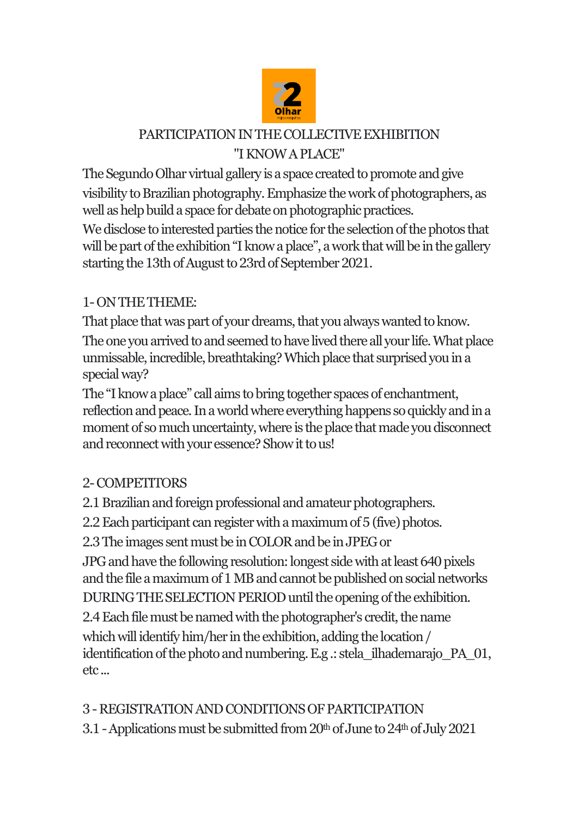

### PARTICIPATION IN THE COLLECTIVE EXHIBITION "I KNOW A PLACE"

The Segundo Olhar virtual gallery is a space created to promote and give visibility to Brazilian photography. Emphasize the work of photographers, as well as help build a space for debate on photographic practices.

We disclose to interested parties the notice for the selection of the photos that will be part of the exhibition "I know a place", a work that will be in the gallery starting the 13th of August to 23rd of September 2021.

### 1-ON THE THEME:

That place that was part of your dreams, that you always wanted to know. The one you arrived to and seemed to have lived there all your life. What place unmissable, incredible, breathtaking? Which place that surprised you in a special way?

The "I know a place" call aims to bring together spaces of enchantment, reflection and peace. In a world where everything happens so quickly and in a moment of so much uncertainty, where is the place that made you disconnect and reconnect with your essence? Show it to us!

# 2-COMPETITORS

2.1 Brazilian and foreign professional and amateur photographers.

2.2 Each participant can register with a maximum of 5 (five) photos.

2.3 The images sent must be in COLOR and be in JPEG or

JPG and have the following resolution: longest side with at least 640 pixels and the file a maximum of 1 MB and cannot be published on social networks DURING THE SELECTION PERIOD until the opening of the exhibition.

2.4 Each file must be named with the photographer's credit, the name which will identify him/her in the exhibition, adding the location / identification of the photo and numbering. E.g .: stela\_ilhademarajo\_PA\_01, etc ...

# 3 -REGISTRATION AND CONDITIONS OF PARTICIPATION

3.1 - Applications must be submitted from  $20<sup>th</sup>$  of June to  $24<sup>th</sup>$  of July 2021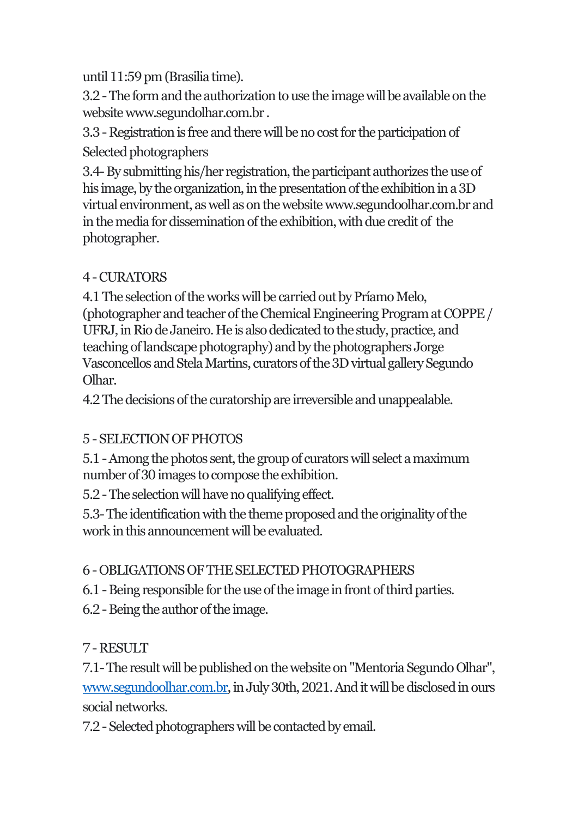until 11:59 pm (Brasilia time).

3.2 -The form and the authorization to use the image will be available on the websitewww.segundolhar.com.br .

3.3 -Registration is free and there will be no cost for the participation of Selected photographers

3.4-By submitting his/her registration, the participant authorizes the use of his image, by the organization, in the presentation of the exhibition in a 3D virtual environment, as well as on the website www.segundoolhar.com.br and in the media for dissemination of the exhibition, with due credit of the photographer.

#### 4 -CURATORS

4.1 The selection of the works will be carried out by Príamo Melo, (photographer and teacher of the Chemical Engineering Program at COPPE / UFRJ, in Rio de Janeiro. He is also dedicated to the study, practice, and teaching of landscape photography) and by the photographers Jorge Vasconcellos and Stela Martins, curators of the 3D virtual gallery Segundo Olhar.

4.2 The decisions of the curatorship are irreversible and unappealable.

### 5 -SELECTION OF PHOTOS

5.1 -Among the photos sent, the group of curators will select a maximum number of 30 images to compose the exhibition.

5.2 -The selection will have no qualifying effect.

5.3-The identification with the theme proposedand the originality of the work in this announcement will be evaluated.

### 6 -OBLIGATIONS OF THE SELECTED PHOTOGRAPHERS

6.1 - Being responsible for the use of the image in front of third parties.

6.2 -Being the author of the image.

# 7 -RESULT

7.1-The result will be published on the website on "Mentoria Segundo Olhar", [www.segundoolhar.com.br,](http://www.segundoolhar.com.br/) in July 30th, 2021. And it will be disclosed in ours social networks.

7.2 -Selected photographerswill be contacted by email.